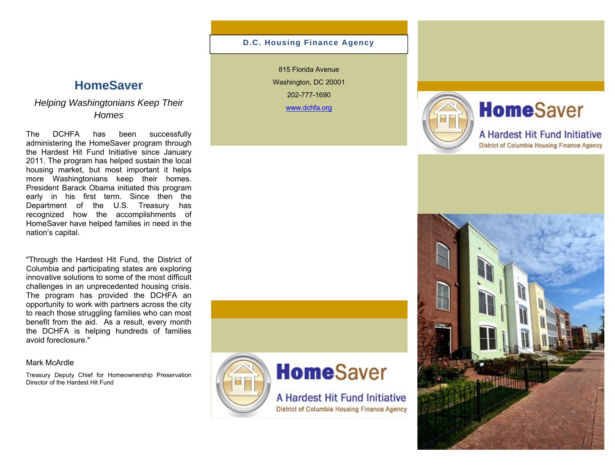### **HomeSaver**

### *Helping Washingtonians Keep Their Homes*

The DCHFA has been successfully administering the HomeSaver program through the Hardest Hit Fund Initiative since January 2011. The program has helped sustain the local housing market, but most important it helps more Washingtonians keep their homes. President Barack Obama initiated this program early in his first term. Since then the Department of the U.S. Treasury has recognized how the accomplishments of HomeSaver have helped families in need in the nation's capital.

"Through the Hardest Hit Fund, the District of Columbia and participating states are exploring innovative solutions to some of the most difficult challenges in an unprecedented housing crisis. The program has provided the DCHFA an opportunity to work with partners across the city to reach those struggling families who can most benefit from the aid. As a result, every month the DCHFA is helping hundreds of families avoid foreclosure."

#### Mark McArdle

Treasury Deputy Chief for Homeownership Preservation Director of the Hardest Hit Fund

#### **D.C. Housing Finance Agency**

815 Florida Avenue Washington, DC 20001 202-777-1690 www.dchfa.org

**HomeSaver** 

A Hardest Hit Fund Initiative



**HomeSaver** A Hardest Hit Fund Initiative **District of Columbia Housing Finance Agency**